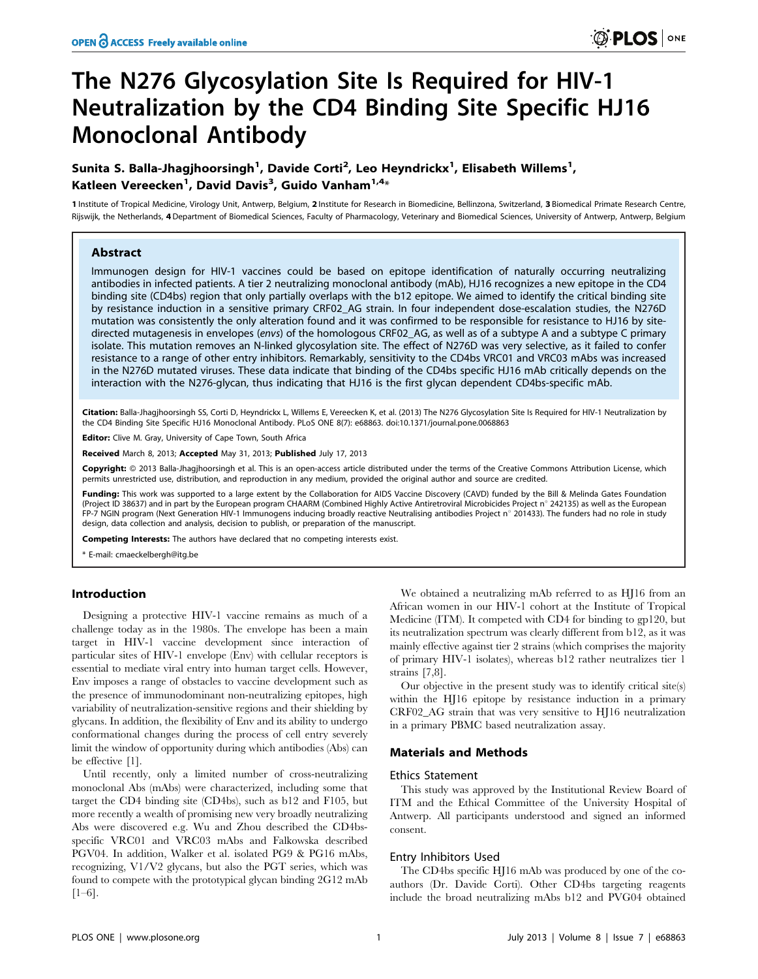# The N276 Glycosylation Site Is Required for HIV-1 Neutralization by the CD4 Binding Site Specific HJ16 Monoclonal Antibody

## Sunita S. Balla-Jhagjhoorsingh $^1$ , Davide Corti $^2$ , Leo Heyndrickx $^1$ , Elisabeth Willems $^1$ , Katleen Vereecken $^1$ , David Davis $^3$ , Guido Vanham $^{1,4_\times}$

1 Institute of Tropical Medicine, Virology Unit, Antwerp, Belgium, 2 Institute for Research in Biomedicine, Bellinzona, Switzerland, 3 Biomedical Primate Research Centre, Rijswijk, the Netherlands, 4Department of Biomedical Sciences, Faculty of Pharmacology, Veterinary and Biomedical Sciences, University of Antwerp, Antwerp, Belgium

## Abstract

Immunogen design for HIV-1 vaccines could be based on epitope identification of naturally occurring neutralizing antibodies in infected patients. A tier 2 neutralizing monoclonal antibody (mAb), HJ16 recognizes a new epitope in the CD4 binding site (CD4bs) region that only partially overlaps with the b12 epitope. We aimed to identify the critical binding site by resistance induction in a sensitive primary CRF02\_AG strain. In four independent dose-escalation studies, the N276D mutation was consistently the only alteration found and it was confirmed to be responsible for resistance to HJ16 by sitedirected mutagenesis in envelopes (envs) of the homologous CRF02\_AG, as well as of a subtype A and a subtype C primary isolate. This mutation removes an N-linked glycosylation site. The effect of N276D was very selective, as it failed to confer resistance to a range of other entry inhibitors. Remarkably, sensitivity to the CD4bs VRC01 and VRC03 mAbs was increased in the N276D mutated viruses. These data indicate that binding of the CD4bs specific HJ16 mAb critically depends on the interaction with the N276-glycan, thus indicating that HJ16 is the first glycan dependent CD4bs-specific mAb.

Citation: Balla-Jhagjhoorsingh SS, Corti D, Heyndrickx L, Willems E, Vereecken K, et al. (2013) The N276 Glycosylation Site Is Required for HIV-1 Neutralization by the CD4 Binding Site Specific HJ16 Monoclonal Antibody. PLoS ONE 8(7): e68863. doi:10.1371/journal.pone.0068863

Editor: Clive M. Gray, University of Cape Town, South Africa

Received March 8, 2013; Accepted May 31, 2013; Published July 17, 2013

Copyright: © 2013 Balla-Jhagjhoorsingh et al. This is an open-access article distributed under the terms of the Creative Commons Attribution License, which permits unrestricted use, distribution, and reproduction in any medium, provided the original author and source are credited.

Funding: This work was supported to a large extent by the Collaboration for AIDS Vaccine Discovery (CAVD) funded by the Bill & Melinda Gates Foundation (Project ID 38637) and in part by the European program CHAARM (Combined Highly Active Antiretroviral Microbicides Project n° 242135) as well as the European FP-7 NGIN program (Next Generation HIV-1 Immunogens inducing broadly reactive Neutralising antibodies Project n° 201433). The funders had no role in study design, data collection and analysis, decision to publish, or preparation of the manuscript.

Competing Interests: The authors have declared that no competing interests exist.

\* E-mail: cmaeckelbergh@itg.be

## Introduction

Designing a protective HIV-1 vaccine remains as much of a challenge today as in the 1980s. The envelope has been a main target in HIV-1 vaccine development since interaction of particular sites of HIV-1 envelope (Env) with cellular receptors is essential to mediate viral entry into human target cells. However, Env imposes a range of obstacles to vaccine development such as the presence of immunodominant non-neutralizing epitopes, high variability of neutralization-sensitive regions and their shielding by glycans. In addition, the flexibility of Env and its ability to undergo conformational changes during the process of cell entry severely limit the window of opportunity during which antibodies (Abs) can be effective [1].

Until recently, only a limited number of cross-neutralizing monoclonal Abs (mAbs) were characterized, including some that target the CD4 binding site (CD4bs), such as b12 and F105, but more recently a wealth of promising new very broadly neutralizing Abs were discovered e.g. Wu and Zhou described the CD4bsspecific VRC01 and VRC03 mAbs and Falkowska described PGV04. In addition, Walker et al. isolated PG9 & PG16 mAbs, recognizing, V1/V2 glycans, but also the PGT series, which was found to compete with the prototypical glycan binding 2G12 mAb  $[1–6]$ .

We obtained a neutralizing mAb referred to as HJ16 from an African women in our HIV-1 cohort at the Institute of Tropical Medicine (ITM). It competed with CD4 for binding to gp120, but its neutralization spectrum was clearly different from b12, as it was mainly effective against tier 2 strains (which comprises the majority of primary HIV-1 isolates), whereas b12 rather neutralizes tier 1 strains [7,8].

Our objective in the present study was to identify critical site(s) within the HJ16 epitope by resistance induction in a primary CRF02\_AG strain that was very sensitive to HJ16 neutralization in a primary PBMC based neutralization assay.

#### Materials and Methods

#### Ethics Statement

This study was approved by the Institutional Review Board of ITM and the Ethical Committee of the University Hospital of Antwerp. All participants understood and signed an informed consent.

#### Entry Inhibitors Used

The CD4bs specific HJ16 mAb was produced by one of the coauthors (Dr. Davide Corti). Other CD4bs targeting reagents include the broad neutralizing mAbs b12 and PVG04 obtained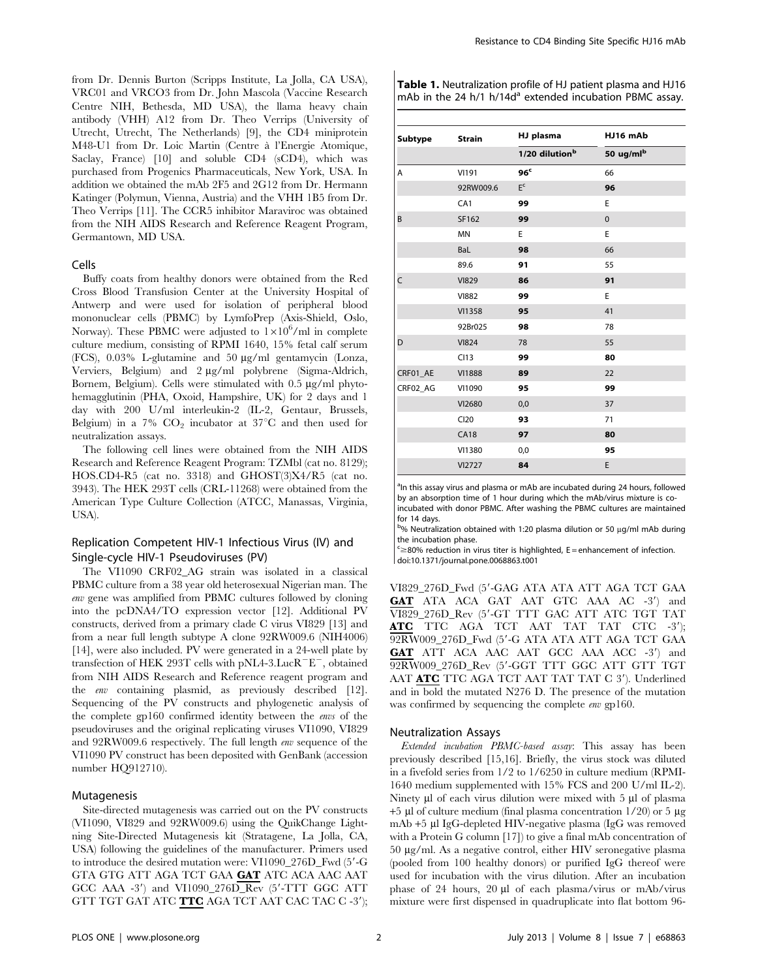from Dr. Dennis Burton (Scripps Institute, La Jolla, CA USA), VRC01 and VRCO3 from Dr. John Mascola (Vaccine Research Centre NIH, Bethesda, MD USA), the llama heavy chain antibody (VHH) A12 from Dr. Theo Verrips (University of Utrecht, Utrecht, The Netherlands) [9], the CD4 miniprotein M48-U1 from Dr. Loic Martin (Centre a` l'Energie Atomique, Saclay, France) [10] and soluble CD4 (sCD4), which was purchased from Progenics Pharmaceuticals, New York, USA. In addition we obtained the mAb 2F5 and 2G12 from Dr. Hermann Katinger (Polymun, Vienna, Austria) and the VHH 1B5 from Dr. Theo Verrips [11]. The CCR5 inhibitor Maraviroc was obtained from the NIH AIDS Research and Reference Reagent Program, Germantown, MD USA.

#### Cells

Buffy coats from healthy donors were obtained from the Red Cross Blood Transfusion Center at the University Hospital of Antwerp and were used for isolation of peripheral blood mononuclear cells (PBMC) by LymfoPrep (Axis-Shield, Oslo, Norway). These PBMC were adjusted to  $1 \times 10^6$ /ml in complete culture medium, consisting of RPMI 1640, 15% fetal calf serum (FCS), 0.03% L-glutamine and 50 mg/ml gentamycin (Lonza, Verviers, Belgium) and 2 µg/ml polybrene (Sigma-Aldrich, Bornem, Belgium). Cells were stimulated with  $0.5 \mu g/ml$  phytohemagglutinin (PHA, Oxoid, Hampshire, UK) for 2 days and 1 day with 200 U/ml interleukin-2 (IL-2, Gentaur, Brussels, Belgium) in a 7%  $CO<sub>2</sub>$  incubator at 37°C and then used for neutralization assays.

The following cell lines were obtained from the NIH AIDS Research and Reference Reagent Program: TZMbl (cat no. 8129); HOS.CD4-R5 (cat no. 3318) and GHOST(3)X4/R5 (cat no. 3943). The HEK 293T cells (CRL-11268) were obtained from the American Type Culture Collection (ATCC, Manassas, Virginia, USA).

## Replication Competent HIV-1 Infectious Virus (IV) and Single-cycle HIV-1 Pseudoviruses (PV)

The VI1090 CRF02\_AG strain was isolated in a classical PBMC culture from a 38 year old heterosexual Nigerian man. The env gene was amplified from PBMC cultures followed by cloning into the pcDNA4/TO expression vector [12]. Additional PV constructs, derived from a primary clade C virus VI829 [13] and from a near full length subtype A clone 92RW009.6 (NIH4006) [14], were also included. PV were generated in a 24-well plate by transfection of HEK 293T cells with pNL4-3.LucR $E^-$ , obtained from NIH AIDS Research and Reference reagent program and the env containing plasmid, as previously described [12]. Sequencing of the PV constructs and phylogenetic analysis of the complete gp160 confirmed identity between the envs of the pseudoviruses and the original replicating viruses VI1090, VI829 and 92RW009.6 respectively. The full length env sequence of the VI1090 PV construct has been deposited with GenBank (accession number HQ912710).

## Mutagenesis

Site-directed mutagenesis was carried out on the PV constructs (VI1090, VI829 and 92RW009.6) using the QuikChange Lightning Site-Directed Mutagenesis kit (Stratagene, La Jolla, CA, USA) following the guidelines of the manufacturer. Primers used to introduce the desired mutation were: VI1090\_276D\_Fwd (5'-G GTA GTG ATT AGA TCT GAA GAT ATC ACA AAC AAT GCC AAA -3') and VI1090\_276D\_Rev  $(5'$ -TTT GGC ATT GTT TGT GAT ATC TTC AGA TCT AAT CAC TAC C -3'); Table 1. Neutralization profile of HJ patient plasma and HJ16 mAb in the 24 h/1 h/14d<sup>a</sup> extended incubation PBMC assay.

| Subtype  | <b>Strain</b>   | HJ plasma                  | HJ16 mAb              |  |  |
|----------|-----------------|----------------------------|-----------------------|--|--|
|          |                 | 1/20 dilution <sup>b</sup> | 50 ug/ml <sup>b</sup> |  |  |
| Α        | VI191           | 96 <sup>c</sup>            | 66                    |  |  |
|          | 92RW009.6       | E <sup>c</sup>             | 96                    |  |  |
|          | CA <sub>1</sub> | 99                         | E                     |  |  |
| B        | SF162           | 99                         | $\mathbf 0$           |  |  |
|          | <b>MN</b>       | E                          | E                     |  |  |
|          | BaL             | 98                         | 66                    |  |  |
|          | 89.6            | 91                         | 55                    |  |  |
| C        | <b>VI829</b>    | 86                         | 91                    |  |  |
|          | <b>VI882</b>    | 99                         | E                     |  |  |
|          | VI1358          | 95                         | 41                    |  |  |
|          | 92Br025         | 98                         | 78                    |  |  |
| D        | <b>VI824</b>    | 78                         | 55                    |  |  |
|          | C113            | 99                         | 80                    |  |  |
| CRF01_AE | <b>VI1888</b>   | 89                         | 22                    |  |  |
| CRF02_AG | VI1090          | 95                         | 99                    |  |  |
|          | VI2680          | 0,0                        | 37                    |  |  |
|          | C120            | 93                         | 71                    |  |  |
|          | <b>CA18</b>     | 97                         | 80                    |  |  |
|          | VI1380          | 0,0                        | 95                    |  |  |
|          | VI2727          | 84                         | E                     |  |  |

<sup>a</sup>In this assay virus and plasma or mAb are incubated during 24 hours, followed by an absorption time of 1 hour during which the mAb/virus mixture is coincubated with donor PBMC. After washing the PBMC cultures are maintained for 14 days.

b% Neutralization obtained with 1:20 plasma dilution or 50 µg/ml mAb during the incubation phase.

 $c \geq 80\%$  reduction in virus titer is highlighted, E = enhancement of infection. doi:10.1371/journal.pone.0068863.t001

 $\,$ VI829\_276D\_Fwd (5'-GAG ATA ATA ATT AGA TCT GAA GAT ATA ACA GAT AAT GTC AAA AC -3') and VI829\_276D\_Rev (5'-GT TTT GAC ATT ATC TGT TAT ATC TTC AGA TCT AAT TAT TAT CTC -3'); 92RW009\_276D\_Fwd (5'-G ATA ATA ATT AGA TCT GAA GAT ATT ACA AAC AAT GCC AAA ACC -3') and 92RW009\_276D\_Rev (5'-GGT TTT GGC ATT GTT TGT AAT ATC TTC AGA TCT AAT TAT TAT C 3'). Underlined and in bold the mutated N276 D. The presence of the mutation was confirmed by sequencing the complete *env* gp160.

#### Neutralization Assays

Extended incubation PBMC-based assay: This assay has been previously described [15,16]. Briefly, the virus stock was diluted in a fivefold series from 1/2 to 1/6250 in culture medium (RPMI-1640 medium supplemented with 15% FCS and 200 U/ml IL-2). Ninety  $\mu$ l of each virus dilution were mixed with 5  $\mu$ l of plasma  $+5$  µl of culture medium (final plasma concentration  $1/20$ ) or 5 µg mAb +5 µl IgG-depleted HIV-negative plasma (IgG was removed with a Protein G column [17]) to give a final mAb concentration of 50 mg/ml. As a negative control, either HIV seronegative plasma (pooled from 100 healthy donors) or purified IgG thereof were used for incubation with the virus dilution. After an incubation phase of 24 hours, 20 µl of each plasma/virus or mAb/virus mixture were first dispensed in quadruplicate into flat bottom 96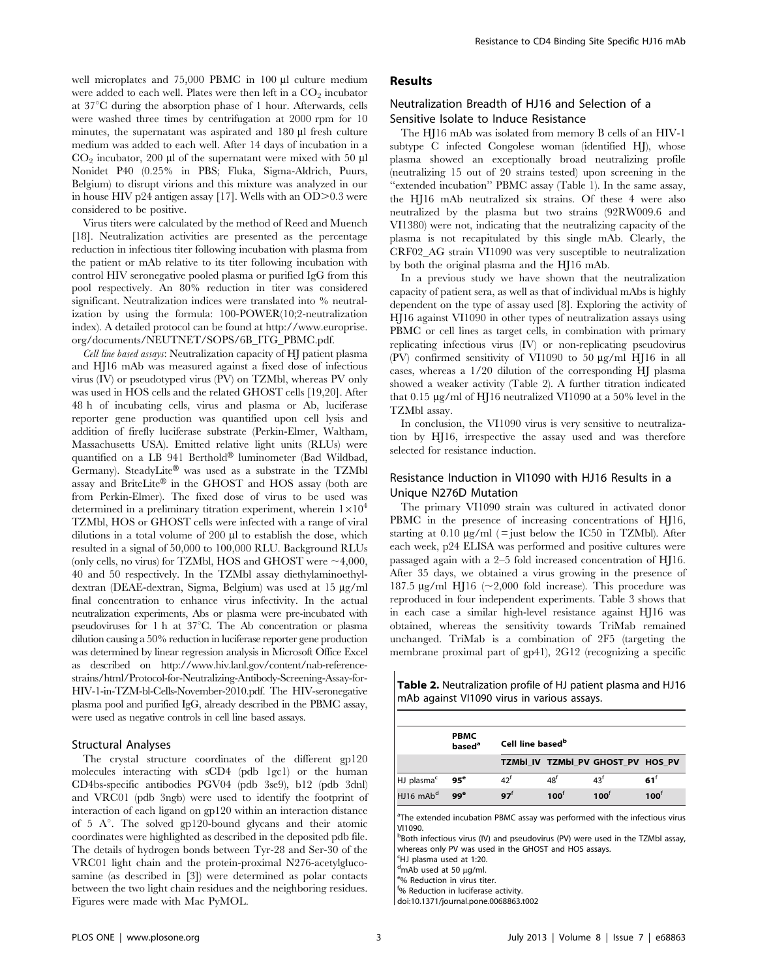well microplates and  $75,000$  PBMC in  $100 \mu l$  culture medium were added to each well. Plates were then left in a  $CO<sub>2</sub>$  incubator at  $37^{\circ}$ C during the absorption phase of 1 hour. Afterwards, cells were washed three times by centrifugation at 2000 rpm for 10 minutes, the supernatant was aspirated and 180 µl fresh culture medium was added to each well. After 14 days of incubation in a  $CO<sub>2</sub>$  incubator, 200 µl of the supernatant were mixed with 50 µl Nonidet P40 (0.25% in PBS; Fluka, Sigma-Aldrich, Puurs, Belgium) to disrupt virions and this mixture was analyzed in our in house HIV p24 antigen assay [17]. Wells with an OD $>0.3$  were considered to be positive.

Virus titers were calculated by the method of Reed and Muench [18]. Neutralization activities are presented as the percentage reduction in infectious titer following incubation with plasma from the patient or mAb relative to its titer following incubation with control HIV seronegative pooled plasma or purified IgG from this pool respectively. An 80% reduction in titer was considered significant. Neutralization indices were translated into % neutralization by using the formula: 100-POWER(10;2-neutralization index). A detailed protocol can be found at http://www.europrise. org/documents/NEUTNET/SOPS/6B\_ITG\_PBMC.pdf.

Cell line based assays: Neutralization capacity of HJ patient plasma and HJ16 mAb was measured against a fixed dose of infectious virus (IV) or pseudotyped virus (PV) on TZMbl, whereas PV only was used in HOS cells and the related GHOST cells [19,20]. After 48 h of incubating cells, virus and plasma or Ab, luciferase reporter gene production was quantified upon cell lysis and addition of firefly luciferase substrate (Perkin-Elmer, Waltham, Massachusetts USA). Emitted relative light units (RLUs) were quantified on a LB 941 Berthold® luminometer (Bad Wildbad, Germany). SteadyLite® was used as a substrate in the TZMbl assay and BriteLite® in the GHOST and HOS assay (both are from Perkin-Elmer). The fixed dose of virus to be used was determined in a preliminary titration experiment, wherein  $1\times10^4$ TZMbl, HOS or GHOST cells were infected with a range of viral dilutions in a total volume of  $200 \mu l$  to establish the dose, which resulted in a signal of 50,000 to 100,000 RLU. Background RLUs (only cells, no virus) for TZMbl, HOS and GHOST were  $\sim$ 4,000, 40 and 50 respectively. In the TZMbl assay diethylaminoethyldextran (DEAE-dextran, Sigma, Belgium) was used at 15 µg/ml final concentration to enhance virus infectivity. In the actual neutralization experiments, Abs or plasma were pre-incubated with pseudoviruses for 1 h at  $37^{\circ}$ C. The Ab concentration or plasma dilution causing a 50% reduction in luciferase reporter gene production was determined by linear regression analysis in Microsoft Office Excel as described on http://www.hiv.lanl.gov/content/nab-referencestrains/html/Protocol-for-Neutralizing-Antibody-Screening-Assay-for-HIV-1-in-TZM-bl-Cells-November-2010.pdf. The HIV-seronegative plasma pool and purified IgG, already described in the PBMC assay, were used as negative controls in cell line based assays.

#### Structural Analyses

The crystal structure coordinates of the different gp120 molecules interacting with sCD4 (pdb 1gc1) or the human CD4bs-specific antibodies PGV04 (pdb 3se9), b12 (pdb 3dnl) and VRC01 (pdb 3ngb) were used to identify the footprint of interaction of each ligand on gp120 within an interaction distance of 5  $A^\circ$ . The solved gp120-bound glycans and their atomic coordinates were highlighted as described in the deposited pdb file. The details of hydrogen bonds between Tyr-28 and Ser-30 of the VRC01 light chain and the protein-proximal N276-acetylglucosamine (as described in [3]) were determined as polar contacts between the two light chain residues and the neighboring residues. Figures were made with Mac PyMOL.

## Results

## Neutralization Breadth of HJ16 and Selection of a Sensitive Isolate to Induce Resistance

The HJ16 mAb was isolated from memory B cells of an HIV-1 subtype C infected Congolese woman (identified HJ), whose plasma showed an exceptionally broad neutralizing profile (neutralizing 15 out of 20 strains tested) upon screening in the ''extended incubation'' PBMC assay (Table 1). In the same assay, the HJ16 mAb neutralized six strains. Of these 4 were also neutralized by the plasma but two strains (92RW009.6 and VI1380) were not, indicating that the neutralizing capacity of the plasma is not recapitulated by this single mAb. Clearly, the CRF02\_AG strain VI1090 was very susceptible to neutralization by both the original plasma and the HJ16 mAb.

In a previous study we have shown that the neutralization capacity of patient sera, as well as that of individual mAbs is highly dependent on the type of assay used [8]. Exploring the activity of HJ16 against VI1090 in other types of neutralization assays using PBMC or cell lines as target cells, in combination with primary replicating infectious virus (IV) or non-replicating pseudovirus (PV) confirmed sensitivity of VI1090 to 50  $\mu$ g/ml HJ16 in all cases, whereas a 1/20 dilution of the corresponding HJ plasma showed a weaker activity (Table 2). A further titration indicated that 0.15 mg/ml of HJ16 neutralized VI1090 at a 50% level in the TZMbl assay.

In conclusion, the VI1090 virus is very sensitive to neutralization by HJ16, irrespective the assay used and was therefore selected for resistance induction.

## Resistance Induction in VI1090 with HJ16 Results in a Unique N276D Mutation

The primary VI1090 strain was cultured in activated donor PBMC in the presence of increasing concentrations of HJ16, starting at  $0.10 \mu g/ml$  (= just below the IC50 in TZMbl). After each week, p24 ELISA was performed and positive cultures were passaged again with a 2–5 fold increased concentration of HJ16. After 35 days, we obtained a virus growing in the presence of 187.5  $\mu$ g/ml HJ16 (~2,000 fold increase). This procedure was reproduced in four independent experiments. Table 3 shows that in each case a similar high-level resistance against HJ16 was obtained, whereas the sensitivity towards TriMab remained unchanged. TriMab is a combination of 2F5 (targeting the membrane proximal part of gp41), 2G12 (recognizing a specific

Table 2. Neutralization profile of HJ patient plasma and HJ16 mAb against VI1090 virus in various assays.

|                         | <b>PBMC</b><br>based <sup>a</sup> | Cell line based <sup>b</sup> |                 |                                   |                 |  |
|-------------------------|-----------------------------------|------------------------------|-----------------|-----------------------------------|-----------------|--|
|                         |                                   |                              |                 | TZMbI IV TZMbI PV GHOST PV HOS PV |                 |  |
| HJ plasma <sup>c</sup>  | $95^{\circ}$                      | 42 <sup>f</sup>              | 48 <sup>f</sup> | 43 <sup>f</sup>                   | $61^f$          |  |
| $HJ16$ mAb <sup>d</sup> | 99 <sup>e</sup>                   | 97 <sup>†</sup>              | $100^{\dagger}$ | $100^{\dagger}$                   | $100^{\dagger}$ |  |

<sup>a</sup>The extended incubation PBMC assay was performed with the infectious virus VI1090.

bBoth infectious virus (IV) and pseudovirus (PV) were used in the TZMbl assay, whereas only PV was used in the GHOST and HOS assays.

c HJ plasma used at 1:20.

 $d$ mAb used at 50 µg/ml.

% Reduction in virus titer.

f % Reduction in luciferase activity.

doi:10.1371/journal.pone.0068863.t002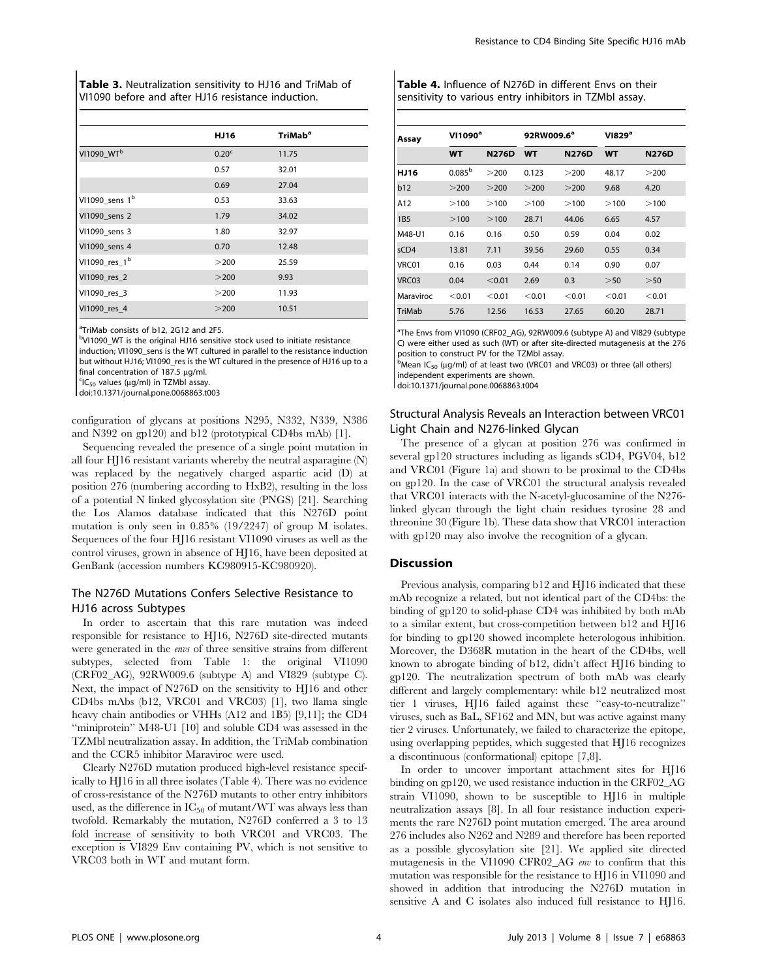Table 3. Neutralization sensitivity to HJ16 and TriMab of VI1090 before and after HJ16 resistance induction.

|                            | HJ16              | TriMab <sup>a</sup> |
|----------------------------|-------------------|---------------------|
| VI1090_WT <sup>b</sup>     | 0.20 <sup>c</sup> | 11.75               |
|                            | 0.57              | 32.01               |
|                            | 0.69              | 27.04               |
| VI1090_sens 1 <sup>b</sup> | 0.53              | 33.63               |
| VI1090 sens 2              | 1.79              | 34.02               |
| VI1090 sens 3              | 1.80              | 32.97               |
| VI1090 sens 4              | 0.70              | 12.48               |
| VI1090_res_1 <sup>b</sup>  | >200              | 25.59               |
| VI1090_res_2               | >200              | 9.93                |
| VI1090_res_3               | >200              | 11.93               |
| VI1090 res 4               | >200              | 10.51               |

<sup>a</sup>TriMab consists of b12, 2G12 and 2F5.

<sup>b</sup>VI1090\_WT is the original HJ16 sensitive stock used to initiate resistance induction; VI1090\_sens is the WT cultured in parallel to the resistance induction but without HJ16; VI1090\_res is the WT cultured in the presence of HJ16 up to a final concentration of  $187.5 \mu g/ml$ .

 ${}^{c}$ IC<sub>50</sub> values ( $\mu$ g/ml) in TZMbl assay.

doi:10.1371/journal.pone.0068863.t003

configuration of glycans at positions N295, N332, N339, N386 and N392 on gp120) and b12 (prototypical CD4bs mAb) [1].

Sequencing revealed the presence of a single point mutation in all four HJ16 resistant variants whereby the neutral asparagine (N) was replaced by the negatively charged aspartic acid (D) at position 276 (numbering according to HxB2), resulting in the loss of a potential N linked glycosylation site (PNGS) [21]. Searching the Los Alamos database indicated that this N276D point mutation is only seen in 0.85% (19/2247) of group M isolates. Sequences of the four HJ16 resistant VI1090 viruses as well as the control viruses, grown in absence of HJ16, have been deposited at GenBank (accession numbers KC980915-KC980920).

## The N276D Mutations Confers Selective Resistance to HJ16 across Subtypes

In order to ascertain that this rare mutation was indeed responsible for resistance to HJ16, N276D site-directed mutants were generated in the envs of three sensitive strains from different subtypes, selected from Table 1: the original VI1090 (CRF02\_AG), 92RW009.6 (subtype A) and VI829 (subtype C). Next, the impact of N276D on the sensitivity to HJ16 and other CD4bs mAbs (b12, VRC01 and VRC03) [1], two llama single heavy chain antibodies or VHHs (A12 and 1B5) [9,11]; the CD4 ''miniprotein'' M48-U1 [10] and soluble CD4 was assessed in the TZMbl neutralization assay. In addition, the TriMab combination and the CCR5 inhibitor Maraviroc were used.

Clearly N276D mutation produced high-level resistance specifically to HJ16 in all three isolates (Table 4). There was no evidence of cross-resistance of the N276D mutants to other entry inhibitors used, as the difference in  $IC_{50}$  of mutant/WT was always less than twofold. Remarkably the mutation, N276D conferred a 3 to 13 fold increase of sensitivity to both VRC01 and VRC03. The exception is VI829 Env containing PV, which is not sensitive to VRC03 both in WT and mutant form.

Table 4. Influence of N276D in different Envs on their sensitivity to various entry inhibitors in TZMbl assay.

| Assay           | $VI1090^a$         |              | 92RW009.6 <sup>a</sup> |              | VI829 <sup>a</sup> |              |
|-----------------|--------------------|--------------|------------------------|--------------|--------------------|--------------|
|                 | <b>WT</b>          | <b>N276D</b> | <b>WT</b>              | <b>N276D</b> | <b>WT</b>          | <b>N276D</b> |
| HJ16            | 0.085 <sup>b</sup> | >200         | 0.123                  | >200         | 48.17              | >200         |
| b12             | >200               | >200         | >200                   | >200         | 9.68               | 4.20         |
| A12             | >100               | >100         | >100                   | >100         | >100               | >100         |
| 1B <sub>5</sub> | >100               | >100         | 28.71                  | 44.06        | 6.65               | 4.57         |
| M48-U1          | 0.16               | 0.16         | 0.50                   | 0.59         | 0.04               | 0.02         |
| sCD4            | 13.81              | 7.11         | 39.56                  | 29.60        | 0.55               | 0.34         |
| VRC01           | 0.16               | 0.03         | 0.44                   | 0.14         | 0.90               | 0.07         |
| VRC03           | 0.04               | < 0.01       | 2.69                   | 0.3          | > 50               | >50          |
| Maraviroc       | < 0.01             | < 0.01       | < 0.01                 | < 0.01       | < 0.01             | < 0.01       |
| TriMab          | 5.76               | 12.56        | 16.53                  | 27.65        | 60.20              | 28.71        |

<sup>a</sup>The Envs from VI1090 (CRF02\_AG), 92RW009.6 (subtype A) and VI829 (subtype C) were either used as such (WT) or after site-directed mutagenesis at the 276 position to construct PV for the TZMbl assay.

 $\overline{b}$ Mean IC<sub>50</sub> (µg/ml) of at least two (VRC01 and VRC03) or three (all others) independent experiments are shown.

doi:10.1371/journal.pone.0068863.t004

## Structural Analysis Reveals an Interaction between VRC01 Light Chain and N276-linked Glycan

The presence of a glycan at position 276 was confirmed in several gp120 structures including as ligands sCD4, PGV04, b12 and VRC01 (Figure 1a) and shown to be proximal to the CD4bs on gp120. In the case of VRC01 the structural analysis revealed that VRC01 interacts with the N-acetyl-glucosamine of the N276 linked glycan through the light chain residues tyrosine 28 and threonine 30 (Figure 1b). These data show that VRC01 interaction with gp120 may also involve the recognition of a glycan.

#### **Discussion**

Previous analysis, comparing b12 and HJ16 indicated that these mAb recognize a related, but not identical part of the CD4bs: the binding of gp120 to solid-phase CD4 was inhibited by both mAb to a similar extent, but cross-competition between b12 and HJ16 for binding to gp120 showed incomplete heterologous inhibition. Moreover, the D368R mutation in the heart of the CD4bs, well known to abrogate binding of b12, didn't affect HJ16 binding to gp120. The neutralization spectrum of both mAb was clearly different and largely complementary: while b12 neutralized most tier 1 viruses, HJ16 failed against these ''easy-to-neutralize'' viruses, such as BaL, SF162 and MN, but was active against many tier 2 viruses. Unfortunately, we failed to characterize the epitope, using overlapping peptides, which suggested that HJ16 recognizes a discontinuous (conformational) epitope [7,8].

In order to uncover important attachment sites for HJ16 binding on gp120, we used resistance induction in the CRF02\_AG strain VI1090, shown to be susceptible to HJ16 in multiple neutralization assays [8]. In all four resistance induction experiments the rare N276D point mutation emerged. The area around 276 includes also N262 and N289 and therefore has been reported as a possible glycosylation site [21]. We applied site directed mutagenesis in the VI1090 CFR02\_AG env to confirm that this mutation was responsible for the resistance to HJ16 in VI1090 and showed in addition that introducing the N276D mutation in sensitive A and C isolates also induced full resistance to HJ16.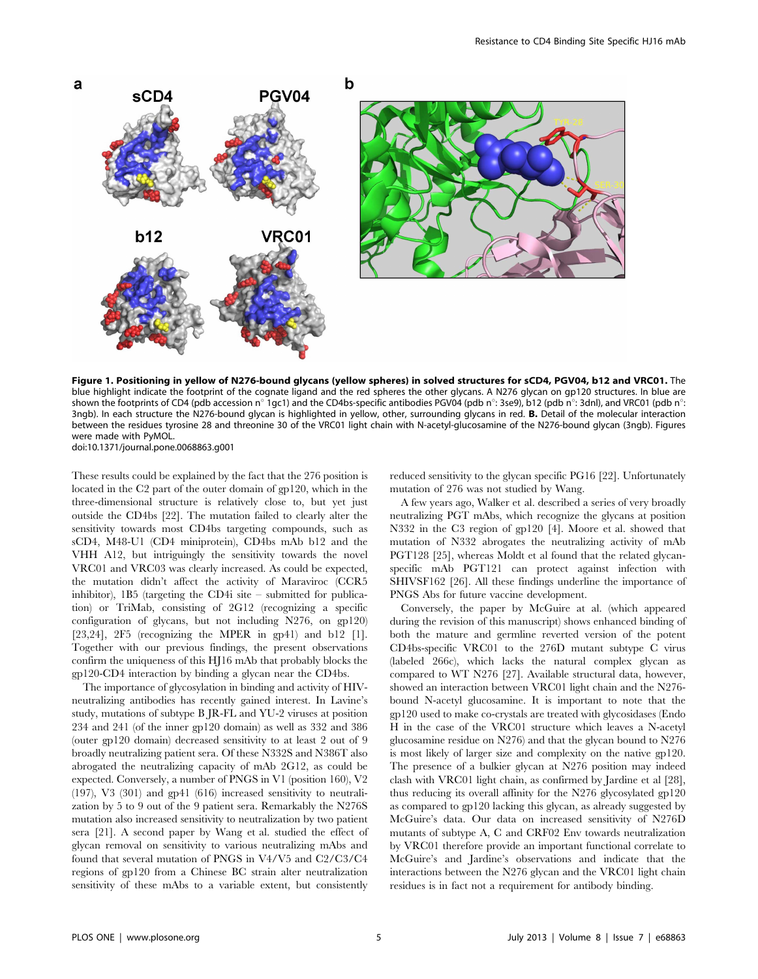

Figure 1. Positioning in yellow of N276-bound glycans (yellow spheres) in solved structures for sCD4, PGV04, b12 and VRC01. The blue highlight indicate the footprint of the cognate ligand and the red spheres the other glycans. A N276 glycan on gp120 structures. In blue are shown the footprints of CD4 (pdb accession n° 1gc1) and the CD4bs-specific antibodies PGV04 (pdb n°: 3se9), b12 (pdb n°: 3dnl), and VRC01 (pdb n°: 3ngb). In each structure the N276-bound glycan is highlighted in yellow, other, surrounding glycans in red. **B.** Detail of the molecular interaction between the residues tyrosine 28 and threonine 30 of the VRC01 light chain with N-acetyl-glucosamine of the N276-bound glycan (3ngb). Figures were made with PyMOL.

doi:10.1371/journal.pone.0068863.g001

These results could be explained by the fact that the 276 position is located in the C2 part of the outer domain of gp120, which in the three-dimensional structure is relatively close to, but yet just outside the CD4bs [22]. The mutation failed to clearly alter the sensitivity towards most CD4bs targeting compounds, such as sCD4, M48-U1 (CD4 miniprotein), CD4bs mAb b12 and the VHH A12, but intriguingly the sensitivity towards the novel VRC01 and VRC03 was clearly increased. As could be expected, the mutation didn't affect the activity of Maraviroc (CCR5 inhibitor), 1B5 (targeting the CD4i site – submitted for publication) or TriMab, consisting of 2G12 (recognizing a specific configuration of glycans, but not including N276, on gp120) [23,24], 2F5 (recognizing the MPER in gp41) and b12 [1]. Together with our previous findings, the present observations confirm the uniqueness of this HJ16 mAb that probably blocks the gp120-CD4 interaction by binding a glycan near the CD4bs.

The importance of glycosylation in binding and activity of HIVneutralizing antibodies has recently gained interest. In Lavine's study, mutations of subtype B JR-FL and YU-2 viruses at position 234 and 241 (of the inner gp120 domain) as well as 332 and 386 (outer gp120 domain) decreased sensitivity to at least 2 out of 9 broadly neutralizing patient sera. Of these N332S and N386T also abrogated the neutralizing capacity of mAb 2G12, as could be expected. Conversely, a number of PNGS in V1 (position 160), V2 (197), V3 (301) and gp41 (616) increased sensitivity to neutralization by 5 to 9 out of the 9 patient sera. Remarkably the N276S mutation also increased sensitivity to neutralization by two patient sera [21]. A second paper by Wang et al. studied the effect of glycan removal on sensitivity to various neutralizing mAbs and found that several mutation of PNGS in V4/V5 and C2/C3/C4 regions of gp120 from a Chinese BC strain alter neutralization sensitivity of these mAbs to a variable extent, but consistently reduced sensitivity to the glycan specific PG16 [22]. Unfortunately mutation of 276 was not studied by Wang.

A few years ago, Walker et al. described a series of very broadly neutralizing PGT mAbs, which recognize the glycans at position N332 in the C3 region of gp120 [4]. Moore et al. showed that mutation of N332 abrogates the neutralizing activity of mAb PGT128 [25], whereas Moldt et al found that the related glycanspecific mAb PGT121 can protect against infection with SHIVSF162 [26]. All these findings underline the importance of PNGS Abs for future vaccine development.

Conversely, the paper by McGuire at al. (which appeared during the revision of this manuscript) shows enhanced binding of both the mature and germline reverted version of the potent CD4bs-specific VRC01 to the 276D mutant subtype C virus (labeled 266c), which lacks the natural complex glycan as compared to WT N276 [27]. Available structural data, however, showed an interaction between VRC01 light chain and the N276 bound N-acetyl glucosamine. It is important to note that the gp120 used to make co-crystals are treated with glycosidases (Endo H in the case of the VRC01 structure which leaves a N-acetyl glucosamine residue on N276) and that the glycan bound to N276 is most likely of larger size and complexity on the native gp120. The presence of a bulkier glycan at N276 position may indeed clash with VRC01 light chain, as confirmed by Jardine et al [28], thus reducing its overall affinity for the N276 glycosylated gp120 as compared to gp120 lacking this glycan, as already suggested by McGuire's data. Our data on increased sensitivity of N276D mutants of subtype A, C and CRF02 Env towards neutralization by VRC01 therefore provide an important functional correlate to McGuire's and Jardine's observations and indicate that the interactions between the N276 glycan and the VRC01 light chain residues is in fact not a requirement for antibody binding.